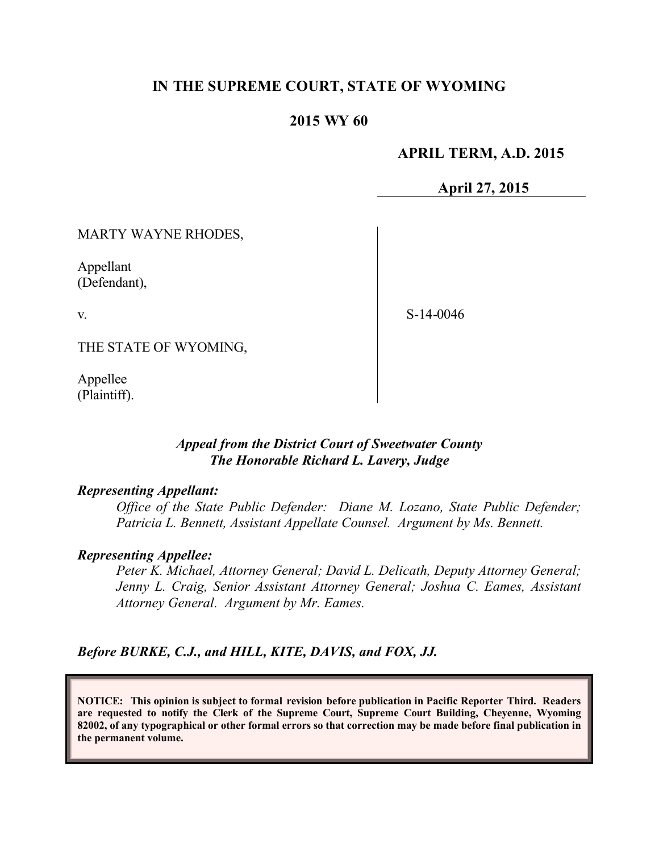# **IN THE SUPREME COURT, STATE OF WYOMING**

#### **2015 WY 60**

#### **APRIL TERM, A.D. 2015**

**April 27, 2015**

MARTY WAYNE RHODES,

Appellant (Defendant),

v.

S-14-0046

THE STATE OF WYOMING,

Appellee (Plaintiff).

### *Appeal from the District Court of Sweetwater County The Honorable Richard L. Lavery, Judge*

#### *Representing Appellant:*

*Office of the State Public Defender: Diane M. Lozano, State Public Defender; Patricia L. Bennett, Assistant Appellate Counsel. Argument by Ms. Bennett.*

#### *Representing Appellee:*

*Peter K. Michael, Attorney General; David L. Delicath, Deputy Attorney General; Jenny L. Craig, Senior Assistant Attorney General; Joshua C. Eames, Assistant Attorney General. Argument by Mr. Eames.*

*Before BURKE, C.J., and HILL, KITE, DAVIS, and FOX, JJ.*

**NOTICE: This opinion is subject to formal revision before publication in Pacific Reporter Third. Readers are requested to notify the Clerk of the Supreme Court, Supreme Court Building, Cheyenne, Wyoming 82002, of any typographical or other formal errors so that correction may be made before final publication in the permanent volume.**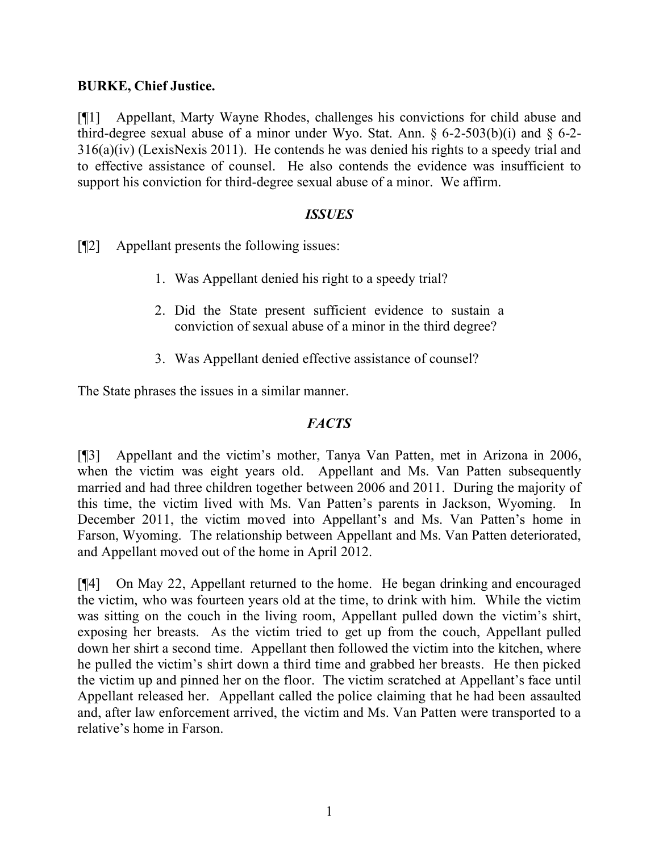### **BURKE, Chief Justice.**

[¶1] Appellant, Marty Wayne Rhodes, challenges his convictions for child abuse and third-degree sexual abuse of a minor under Wyo. Stat. Ann.  $\S$  6-2-503(b)(i) and  $\S$  6-2-316(a)(iv) (LexisNexis 2011). He contends he was denied his rights to a speedy trial and to effective assistance of counsel. He also contends the evidence was insufficient to support his conviction for third-degree sexual abuse of a minor. We affirm.

### *ISSUES*

[¶2] Appellant presents the following issues:

- 1. Was Appellant denied his right to a speedy trial?
- 2. Did the State present sufficient evidence to sustain a conviction of sexual abuse of a minor in the third degree?
- 3. Was Appellant denied effective assistance of counsel?

The State phrases the issues in a similar manner.

## *FACTS*

[¶3] Appellant and the victim's mother, Tanya Van Patten, met in Arizona in 2006, when the victim was eight years old. Appellant and Ms. Van Patten subsequently married and had three children together between 2006 and 2011. During the majority of this time, the victim lived with Ms. Van Patten's parents in Jackson, Wyoming. In December 2011, the victim moved into Appellant's and Ms. Van Patten's home in Farson, Wyoming. The relationship between Appellant and Ms. Van Patten deteriorated, and Appellant moved out of the home in April 2012.

[¶4] On May 22, Appellant returned to the home. He began drinking and encouraged the victim, who was fourteen years old at the time, to drink with him. While the victim was sitting on the couch in the living room, Appellant pulled down the victim's shirt, exposing her breasts. As the victim tried to get up from the couch, Appellant pulled down her shirt a second time. Appellant then followed the victim into the kitchen, where he pulled the victim's shirt down a third time and grabbed her breasts. He then picked the victim up and pinned her on the floor. The victim scratched at Appellant's face until Appellant released her. Appellant called the police claiming that he had been assaulted and, after law enforcement arrived, the victim and Ms. Van Patten were transported to a relative's home in Farson.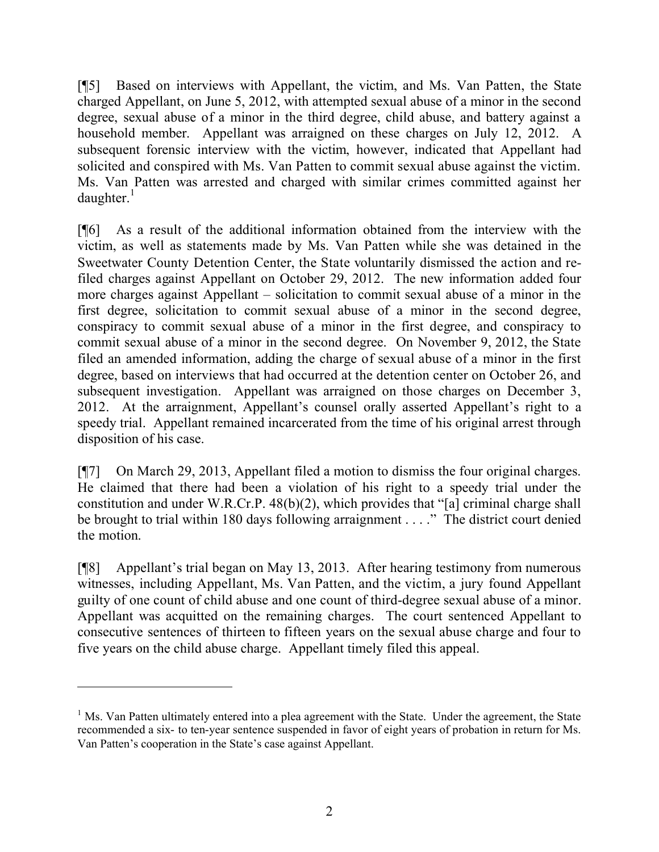[¶5] Based on interviews with Appellant, the victim, and Ms. Van Patten, the State charged Appellant, on June 5, 2012, with attempted sexual abuse of a minor in the second degree, sexual abuse of a minor in the third degree, child abuse, and battery against a household member. Appellant was arraigned on these charges on July 12, 2012. A subsequent forensic interview with the victim, however, indicated that Appellant had solicited and conspired with Ms. Van Patten to commit sexual abuse against the victim. Ms. Van Patten was arrested and charged with similar crimes committed against her  $d$ aughter.<sup>1</sup>

[¶6] As a result of the additional information obtained from the interview with the victim, as well as statements made by Ms. Van Patten while she was detained in the Sweetwater County Detention Center, the State voluntarily dismissed the action and refiled charges against Appellant on October 29, 2012. The new information added four more charges against Appellant – solicitation to commit sexual abuse of a minor in the first degree, solicitation to commit sexual abuse of a minor in the second degree, conspiracy to commit sexual abuse of a minor in the first degree, and conspiracy to commit sexual abuse of a minor in the second degree. On November 9, 2012, the State filed an amended information, adding the charge of sexual abuse of a minor in the first degree, based on interviews that had occurred at the detention center on October 26, and subsequent investigation. Appellant was arraigned on those charges on December 3, 2012. At the arraignment, Appellant's counsel orally asserted Appellant's right to a speedy trial. Appellant remained incarcerated from the time of his original arrest through disposition of his case.

[¶7] On March 29, 2013, Appellant filed a motion to dismiss the four original charges. He claimed that there had been a violation of his right to a speedy trial under the constitution and under W.R.Cr.P. 48(b)(2), which provides that "[a] criminal charge shall be brought to trial within 180 days following arraignment . . . ." The district court denied the motion.

[¶8] Appellant's trial began on May 13, 2013. After hearing testimony from numerous witnesses, including Appellant, Ms. Van Patten, and the victim, a jury found Appellant guilty of one count of child abuse and one count of third-degree sexual abuse of a minor. Appellant was acquitted on the remaining charges. The court sentenced Appellant to consecutive sentences of thirteen to fifteen years on the sexual abuse charge and four to five years on the child abuse charge. Appellant timely filed this appeal.

<sup>&</sup>lt;sup>1</sup> Ms. Van Patten ultimately entered into a plea agreement with the State. Under the agreement, the State recommended a six- to ten-year sentence suspended in favor of eight years of probation in return for Ms. Van Patten's cooperation in the State's case against Appellant.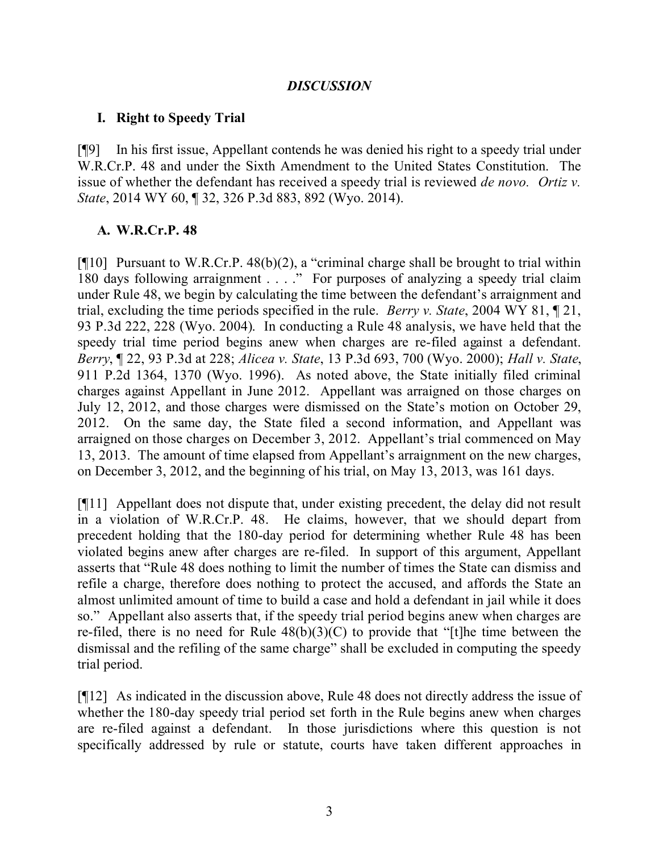#### *DISCUSSION*

### **I. Right to Speedy Trial**

[¶9] In his first issue, Appellant contends he was denied his right to a speedy trial under W.R.Cr.P. 48 and under the Sixth Amendment to the United States Constitution. The issue of whether the defendant has received a speedy trial is reviewed *de novo. Ortiz v. State*, 2014 WY 60, ¶ 32, 326 P.3d 883, 892 (Wyo. 2014).

### **A. W.R.Cr.P. 48**

[¶10] Pursuant to W.R.Cr.P. 48(b)(2), a "criminal charge shall be brought to trial within 180 days following arraignment . . . ." For purposes of analyzing a speedy trial claim under Rule 48, we begin by calculating the time between the defendant's arraignment and trial, excluding the time periods specified in the rule. *Berry v. State*, 2004 WY 81, ¶ 21, 93 P.3d 222, 228 (Wyo. 2004). In conducting a Rule 48 analysis, we have held that the speedy trial time period begins anew when charges are re-filed against a defendant. *Berry*, ¶ 22, 93 P.3d at 228; *Alicea v. State*, 13 P.3d 693, 700 (Wyo. 2000); *Hall v. State*, 911 P.2d 1364, 1370 (Wyo. 1996). As noted above, the State initially filed criminal charges against Appellant in June 2012. Appellant was arraigned on those charges on July 12, 2012, and those charges were dismissed on the State's motion on October 29, 2012. On the same day, the State filed a second information, and Appellant was arraigned on those charges on December 3, 2012. Appellant's trial commenced on May 13, 2013. The amount of time elapsed from Appellant's arraignment on the new charges, on December 3, 2012, and the beginning of his trial, on May 13, 2013, was 161 days.

[¶11] Appellant does not dispute that, under existing precedent, the delay did not result in a violation of W.R.Cr.P. 48. He claims, however, that we should depart from precedent holding that the 180-day period for determining whether Rule 48 has been violated begins anew after charges are re-filed. In support of this argument, Appellant asserts that "Rule 48 does nothing to limit the number of times the State can dismiss and refile a charge, therefore does nothing to protect the accused, and affords the State an almost unlimited amount of time to build a case and hold a defendant in jail while it does so." Appellant also asserts that, if the speedy trial period begins anew when charges are re-filed, there is no need for Rule 48(b)(3)(C) to provide that "[t]he time between the dismissal and the refiling of the same charge" shall be excluded in computing the speedy trial period.

[¶12] As indicated in the discussion above, Rule 48 does not directly address the issue of whether the 180-day speedy trial period set forth in the Rule begins anew when charges are re-filed against a defendant. In those jurisdictions where this question is not specifically addressed by rule or statute, courts have taken different approaches in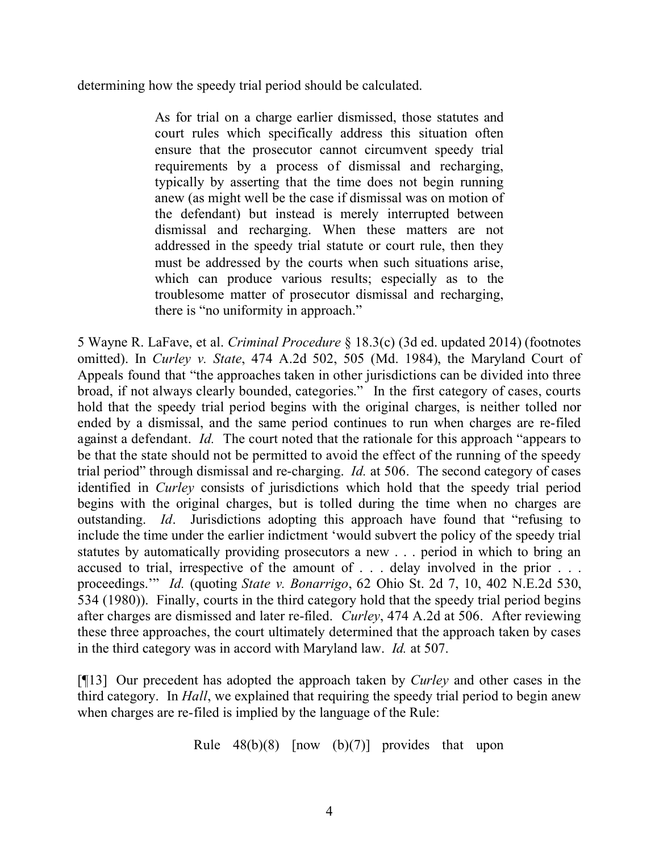determining how the speedy trial period should be calculated.

As for trial on a charge earlier dismissed, those statutes and court rules which specifically address this situation often ensure that the prosecutor cannot circumvent speedy trial requirements by a process of dismissal and recharging, typically by asserting that the time does not begin running anew (as might well be the case if dismissal was on motion of the defendant) but instead is merely interrupted between dismissal and recharging. When these matters are not addressed in the speedy trial statute or court rule, then they must be addressed by the courts when such situations arise, which can produce various results; especially as to the troublesome matter of prosecutor dismissal and recharging, there is "no uniformity in approach."

5 Wayne R. LaFave, et al. *Criminal Procedure* § 18.3(c) (3d ed. updated 2014) (footnotes omitted). In *Curley v. State*, 474 A.2d 502, 505 (Md. 1984), the Maryland Court of Appeals found that "the approaches taken in other jurisdictions can be divided into three broad, if not always clearly bounded, categories." In the first category of cases, courts hold that the speedy trial period begins with the original charges, is neither tolled nor ended by a dismissal, and the same period continues to run when charges are re-filed against a defendant. *Id.* The court noted that the rationale for this approach "appears to be that the state should not be permitted to avoid the effect of the running of the speedy trial period" through dismissal and re-charging. *Id.* at 506. The second category of cases identified in *Curley* consists of jurisdictions which hold that the speedy trial period begins with the original charges, but is tolled during the time when no charges are outstanding. *Id*. Jurisdictions adopting this approach have found that "refusing to include the time under the earlier indictment 'would subvert the policy of the speedy trial statutes by automatically providing prosecutors a new . . . period in which to bring an accused to trial, irrespective of the amount of . . . delay involved in the prior . . . proceedings.'" *Id.* (quoting *State v. Bonarrigo*, 62 Ohio St. 2d 7, 10, 402 N.E.2d 530, 534 (1980)). Finally, courts in the third category hold that the speedy trial period begins after charges are dismissed and later re-filed. *Curley*, 474 A.2d at 506. After reviewing these three approaches, the court ultimately determined that the approach taken by cases in the third category was in accord with Maryland law. *Id.* at 507.

[¶13] Our precedent has adopted the approach taken by *Curley* and other cases in the third category. In *Hall*, we explained that requiring the speedy trial period to begin anew when charges are re-filed is implied by the language of the Rule:

Rule  $48(b)(8)$  [now  $(b)(7)$ ] provides that upon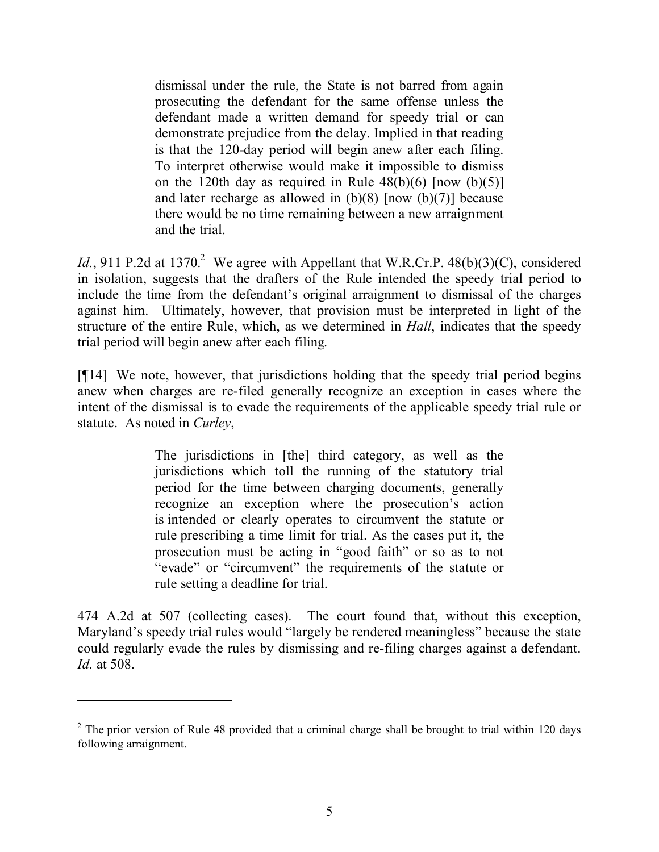dismissal under the rule, the State is not barred from again prosecuting the defendant for the same offense unless the defendant made a written demand for speedy trial or can demonstrate prejudice from the delay. Implied in that reading is that the 120-day period will begin anew after each filing. To interpret otherwise would make it impossible to dismiss on the 120th day as required in Rule  $48(b)(6)$  [now  $(b)(5)$ ] and later recharge as allowed in  $(b)(8)$  [now  $(b)(7)$ ] because there would be no time remaining between a new arraignment and the trial.

*Id.*, 911 P.2d at 1370.<sup>2</sup> We agree with Appellant that W.R.Cr.P. 48(b)(3)(C), considered in isolation, suggests that the drafters of the Rule intended the speedy trial period to include the time from the defendant's original arraignment to dismissal of the charges against him. Ultimately, however, that provision must be interpreted in light of the structure of the entire Rule, which, as we determined in *Hall*, indicates that the speedy trial period will begin anew after each filing.

[¶14] We note, however, that jurisdictions holding that the speedy trial period begins anew when charges are re-filed generally recognize an exception in cases where the intent of the dismissal is to evade the requirements of the applicable speedy trial rule or statute. As noted in *Curley*,

> The jurisdictions in [the] third category, as well as the jurisdictions which toll the running of the statutory trial period for the time between charging documents, generally recognize an exception where the prosecution's action is intended or clearly operates to circumvent the statute or rule prescribing a time limit for trial. As the cases put it, the prosecution must be acting in "good faith" or so as to not "evade" or "circumvent" the requirements of the statute or rule setting a deadline for trial.

474 A.2d at 507 (collecting cases). The court found that, without this exception, Maryland's speedy trial rules would "largely be rendered meaningless" because the state could regularly evade the rules by dismissing and re-filing charges against a defendant. *Id.* at 508.

 $2$  The prior version of Rule 48 provided that a criminal charge shall be brought to trial within 120 days following arraignment.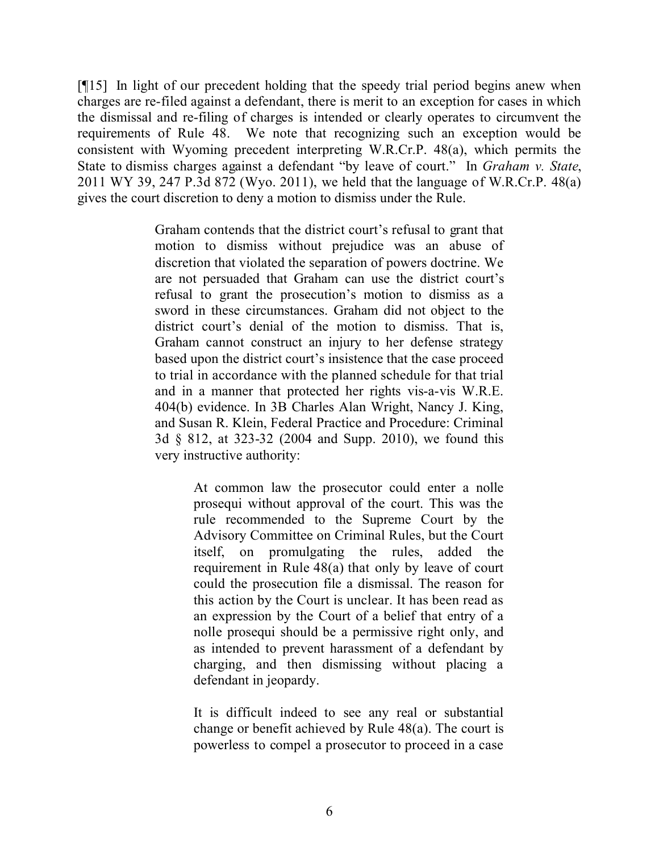[¶15] In light of our precedent holding that the speedy trial period begins anew when charges are re-filed against a defendant, there is merit to an exception for cases in which the dismissal and re-filing of charges is intended or clearly operates to circumvent the requirements of Rule 48. We note that recognizing such an exception would be consistent with Wyoming precedent interpreting W.R.Cr.P. 48(a), which permits the State to dismiss charges against a defendant "by leave of court." In *Graham v. State*, 2011 WY 39, 247 P.3d 872 (Wyo. 2011), we held that the language of W.R.Cr.P. 48(a) gives the court discretion to deny a motion to dismiss under the Rule.

> Graham contends that the district court's refusal to grant that motion to dismiss without prejudice was an abuse of discretion that violated the separation of powers doctrine. We are not persuaded that Graham can use the district court's refusal to grant the prosecution's motion to dismiss as a sword in these circumstances. Graham did not object to the district court's denial of the motion to dismiss. That is, Graham cannot construct an injury to her defense strategy based upon the district court's insistence that the case proceed to trial in accordance with the planned schedule for that trial and in a manner that protected her rights vis-a-vis W.R.E. 404(b) evidence. In 3B Charles Alan Wright, Nancy J. King, and Susan R. Klein, Federal Practice and Procedure: Criminal 3d § 812, at 323-32 (2004 and Supp. 2010), we found this very instructive authority:

> > At common law the prosecutor could enter a nolle prosequi without approval of the court. This was the rule recommended to the Supreme Court by the Advisory Committee on Criminal Rules, but the Court itself, on promulgating the rules, added the requirement in Rule 48(a) that only by leave of court could the prosecution file a dismissal. The reason for this action by the Court is unclear. It has been read as an expression by the Court of a belief that entry of a nolle prosequi should be a permissive right only, and as intended to prevent harassment of a defendant by charging, and then dismissing without placing a defendant in jeopardy.

> > It is difficult indeed to see any real or substantial change or benefit achieved by Rule 48(a). The court is powerless to compel a prosecutor to proceed in a case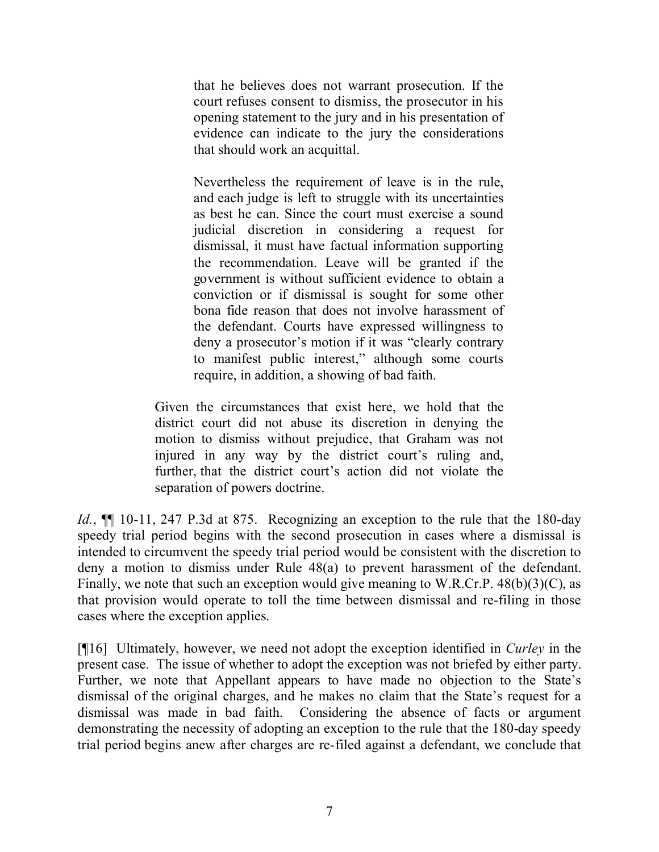that he believes does not warrant prosecution. If the court refuses consent to dismiss, the prosecutor in his opening statement to the jury and in his presentation of evidence can indicate to the jury the considerations that should work an acquittal.

Nevertheless the requirement of leave is in the rule, and each judge is left to struggle with its uncertainties as best he can. Since the court must exercise a sound judicial discretion in considering a request for dismissal, it must have factual information supporting the recommendation. Leave will be granted if the government is without sufficient evidence to obtain a conviction or if dismissal is sought for some other bona fide reason that does not involve harassment of the defendant. Courts have expressed willingness to deny a prosecutor's motion if it was "clearly contrary to manifest public interest," although some courts require, in addition, a showing of bad faith.

Given the circumstances that exist here, we hold that the district court did not abuse its discretion in denying the motion to dismiss without prejudice, that Graham was not injured in any way by the district court's ruling and, further, that the district court's action did not violate the separation of powers doctrine.

*Id.*, **[1]** 10-11, 247 P.3d at 875. Recognizing an exception to the rule that the 180-day speedy trial period begins with the second prosecution in cases where a dismissal is intended to circumvent the speedy trial period would be consistent with the discretion to deny a motion to dismiss under Rule 48(a) to prevent harassment of the defendant. Finally, we note that such an exception would give meaning to W.R.Cr.P. 48(b)(3)(C), as that provision would operate to toll the time between dismissal and re-filing in those cases where the exception applies.

[¶16] Ultimately, however, we need not adopt the exception identified in *Curley* in the present case. The issue of whether to adopt the exception was not briefed by either party. Further, we note that Appellant appears to have made no objection to the State's dismissal of the original charges, and he makes no claim that the State's request for a dismissal was made in bad faith. Considering the absence of facts or argument demonstrating the necessity of adopting an exception to the rule that the 180-day speedy trial period begins anew after charges are re-filed against a defendant, we conclude that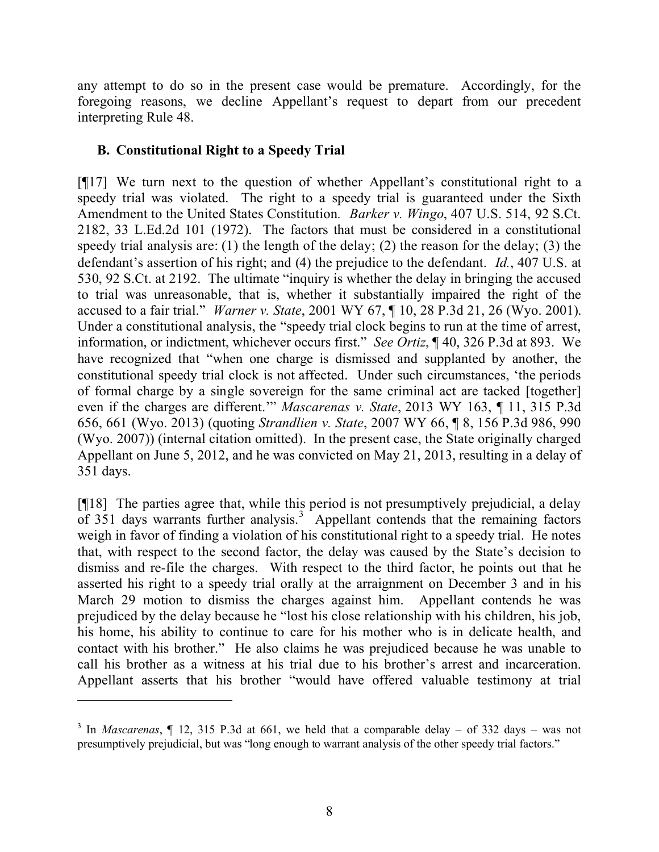any attempt to do so in the present case would be premature. Accordingly, for the foregoing reasons, we decline Appellant's request to depart from our precedent interpreting Rule 48.

## **B. Constitutional Right to a Speedy Trial**

[¶17] We turn next to the question of whether Appellant's constitutional right to a speedy trial was violated. The right to a speedy trial is guaranteed under the Sixth Amendment to the United States Constitution*. Barker v. Wingo*, 407 U.S. 514, 92 S.Ct. 2182, 33 L.Ed.2d 101 (1972). The factors that must be considered in a constitutional speedy trial analysis are: (1) the length of the delay; (2) the reason for the delay; (3) the defendant's assertion of his right; and (4) the prejudice to the defendant. *Id.*, 407 U.S. at 530, 92 S.Ct. at 2192. The ultimate "inquiry is whether the delay in bringing the accused to trial was unreasonable, that is, whether it substantially impaired the right of the accused to a fair trial." *Warner v. State*, 2001 WY 67, ¶ 10, 28 P.3d 21, 26 (Wyo. 2001). Under a constitutional analysis, the "speedy trial clock begins to run at the time of arrest, information, or indictment, whichever occurs first." *See Ortiz*, ¶ 40, 326 P.3d at 893. We have recognized that "when one charge is dismissed and supplanted by another, the constitutional speedy trial clock is not affected. Under such circumstances, 'the periods of formal charge by a single sovereign for the same criminal act are tacked [together] even if the charges are different.'" *Mascarenas v. State*, 2013 WY 163, ¶ 11, 315 P.3d 656, 661 (Wyo. 2013) (quoting *Strandlien v. State*, 2007 WY 66, ¶ 8, 156 P.3d 986, 990 (Wyo. 2007)) (internal citation omitted). In the present case, the State originally charged Appellant on June 5, 2012, and he was convicted on May 21, 2013, resulting in a delay of 351 days.

[¶18] The parties agree that, while this period is not presumptively prejudicial, a delay of 351 days warrants further analysis.<sup>3</sup> Appellant contends that the remaining factors weigh in favor of finding a violation of his constitutional right to a speedy trial. He notes that, with respect to the second factor, the delay was caused by the State's decision to dismiss and re-file the charges. With respect to the third factor, he points out that he asserted his right to a speedy trial orally at the arraignment on December 3 and in his March 29 motion to dismiss the charges against him. Appellant contends he was prejudiced by the delay because he "lost his close relationship with his children, his job, his home, his ability to continue to care for his mother who is in delicate health, and contact with his brother." He also claims he was prejudiced because he was unable to call his brother as a witness at his trial due to his brother's arrest and incarceration. Appellant asserts that his brother "would have offered valuable testimony at trial

<sup>3</sup> In *Mascarenas*, ¶ 12, 315 P.3d at 661, we held that a comparable delay – of 332 days – was not presumptively prejudicial, but was "long enough to warrant analysis of the other speedy trial factors."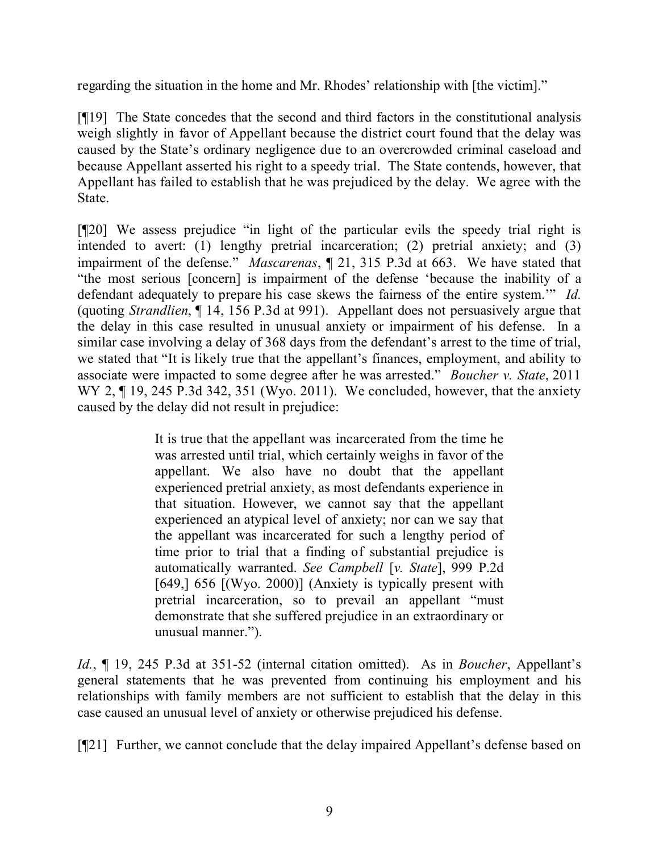regarding the situation in the home and Mr. Rhodes' relationship with [the victim]."

[¶19] The State concedes that the second and third factors in the constitutional analysis weigh slightly in favor of Appellant because the district court found that the delay was caused by the State's ordinary negligence due to an overcrowded criminal caseload and because Appellant asserted his right to a speedy trial. The State contends, however, that Appellant has failed to establish that he was prejudiced by the delay. We agree with the State.

[¶20] We assess prejudice "in light of the particular evils the speedy trial right is intended to avert: (1) lengthy pretrial incarceration; (2) pretrial anxiety; and (3) impairment of the defense." *Mascarenas*, ¶ 21, 315 P.3d at 663. We have stated that "the most serious [concern] is impairment of the defense 'because the inability of a defendant adequately to prepare his case skews the fairness of the entire system.'" *Id.* (quoting *Strandlien*, ¶ 14, 156 P.3d at 991). Appellant does not persuasively argue that the delay in this case resulted in unusual anxiety or impairment of his defense. In a similar case involving a delay of 368 days from the defendant's arrest to the time of trial, we stated that "It is likely true that the appellant's finances, employment, and ability to associate were impacted to some degree after he was arrested." *Boucher v. State*, 2011 WY 2, ¶ 19, 245 P.3d 342, 351 (Wyo. 2011). We concluded, however, that the anxiety caused by the delay did not result in prejudice:

> It is true that the appellant was incarcerated from the time he was arrested until trial, which certainly weighs in favor of the appellant. We also have no doubt that the appellant experienced pretrial anxiety, as most defendants experience in that situation. However, we cannot say that the appellant experienced an atypical level of anxiety; nor can we say that the appellant was incarcerated for such a lengthy period of time prior to trial that a finding of substantial prejudice is automatically warranted. *See Campbell* [*v. State*], 999 P.2d [649,] 656 [(Wyo. 2000)] (Anxiety is typically present with pretrial incarceration, so to prevail an appellant "must demonstrate that she suffered prejudice in an extraordinary or unusual manner.").

*Id.*, ¶ 19, 245 P.3d at 351-52 (internal citation omitted). As in *Boucher*, Appellant's general statements that he was prevented from continuing his employment and his relationships with family members are not sufficient to establish that the delay in this case caused an unusual level of anxiety or otherwise prejudiced his defense.

[¶21] Further, we cannot conclude that the delay impaired Appellant's defense based on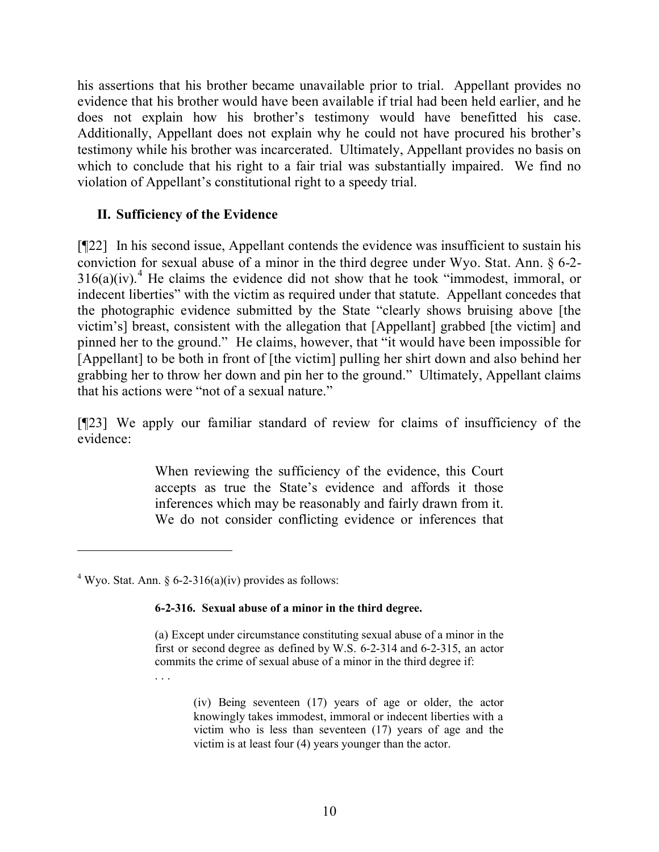his assertions that his brother became unavailable prior to trial. Appellant provides no evidence that his brother would have been available if trial had been held earlier, and he does not explain how his brother's testimony would have benefitted his case. Additionally, Appellant does not explain why he could not have procured his brother's testimony while his brother was incarcerated. Ultimately, Appellant provides no basis on which to conclude that his right to a fair trial was substantially impaired. We find no violation of Appellant's constitutional right to a speedy trial.

## **II. Sufficiency of the Evidence**

[¶22] In his second issue, Appellant contends the evidence was insufficient to sustain his conviction for sexual abuse of a minor in the third degree under Wyo. Stat. Ann. § 6-2-  $316(a)(iv).$ <sup>4</sup> He claims the evidence did not show that he took "immodest, immoral, or indecent liberties" with the victim as required under that statute. Appellant concedes that the photographic evidence submitted by the State "clearly shows bruising above [the victim's] breast, consistent with the allegation that [Appellant] grabbed [the victim] and pinned her to the ground." He claims, however, that "it would have been impossible for [Appellant] to be both in front of [the victim] pulling her shirt down and also behind her grabbing her to throw her down and pin her to the ground." Ultimately, Appellant claims that his actions were "not of a sexual nature."

[¶23] We apply our familiar standard of review for claims of insufficiency of the evidence:

> When reviewing the sufficiency of the evidence, this Court accepts as true the State's evidence and affords it those inferences which may be reasonably and fairly drawn from it. We do not consider conflicting evidence or inferences that

<sup>4</sup> Wyo. Stat. Ann. § 6-2-316(a)(iv) provides as follows:

#### **6-2-316. Sexual abuse of a minor in the third degree.**

(a) Except under circumstance constituting sexual abuse of a minor in the first or second degree as defined by W.S. 6-2-314 and 6-2-315, an actor commits the crime of sexual abuse of a minor in the third degree if: . . .

> (iv) Being seventeen (17) years of age or older, the actor knowingly takes immodest, immoral or indecent liberties with a victim who is less than seventeen (17) years of age and the victim is at least four (4) years younger than the actor.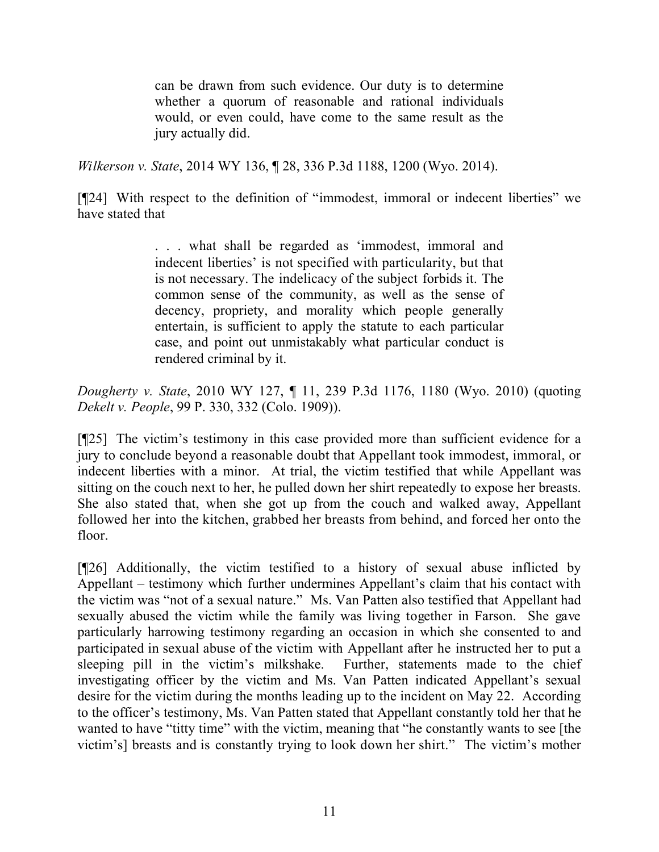can be drawn from such evidence. Our duty is to determine whether a quorum of reasonable and rational individuals would, or even could, have come to the same result as the jury actually did.

*Wilkerson v. State*, 2014 WY 136, ¶ 28, 336 P.3d 1188, 1200 (Wyo. 2014).

[¶24] With respect to the definition of "immodest, immoral or indecent liberties" we have stated that

> . . . what shall be regarded as 'immodest, immoral and indecent liberties' is not specified with particularity, but that is not necessary. The indelicacy of the subject forbids it. The common sense of the community, as well as the sense of decency, propriety, and morality which people generally entertain, is sufficient to apply the statute to each particular case, and point out unmistakably what particular conduct is rendered criminal by it.

*Dougherty v. State*, 2010 WY 127, ¶ 11, 239 P.3d 1176, 1180 (Wyo. 2010) (quoting *Dekelt v. People*, 99 P. 330, 332 (Colo. 1909)).

[¶25] The victim's testimony in this case provided more than sufficient evidence for a jury to conclude beyond a reasonable doubt that Appellant took immodest, immoral, or indecent liberties with a minor. At trial, the victim testified that while Appellant was sitting on the couch next to her, he pulled down her shirt repeatedly to expose her breasts. She also stated that, when she got up from the couch and walked away, Appellant followed her into the kitchen, grabbed her breasts from behind, and forced her onto the floor.

[¶26] Additionally, the victim testified to a history of sexual abuse inflicted by Appellant – testimony which further undermines Appellant's claim that his contact with the victim was "not of a sexual nature." Ms. Van Patten also testified that Appellant had sexually abused the victim while the family was living together in Farson. She gave particularly harrowing testimony regarding an occasion in which she consented to and participated in sexual abuse of the victim with Appellant after he instructed her to put a sleeping pill in the victim's milkshake. Further, statements made to the chief investigating officer by the victim and Ms. Van Patten indicated Appellant's sexual desire for the victim during the months leading up to the incident on May 22. According to the officer's testimony, Ms. Van Patten stated that Appellant constantly told her that he wanted to have "titty time" with the victim, meaning that "he constantly wants to see [the victim's] breasts and is constantly trying to look down her shirt." The victim's mother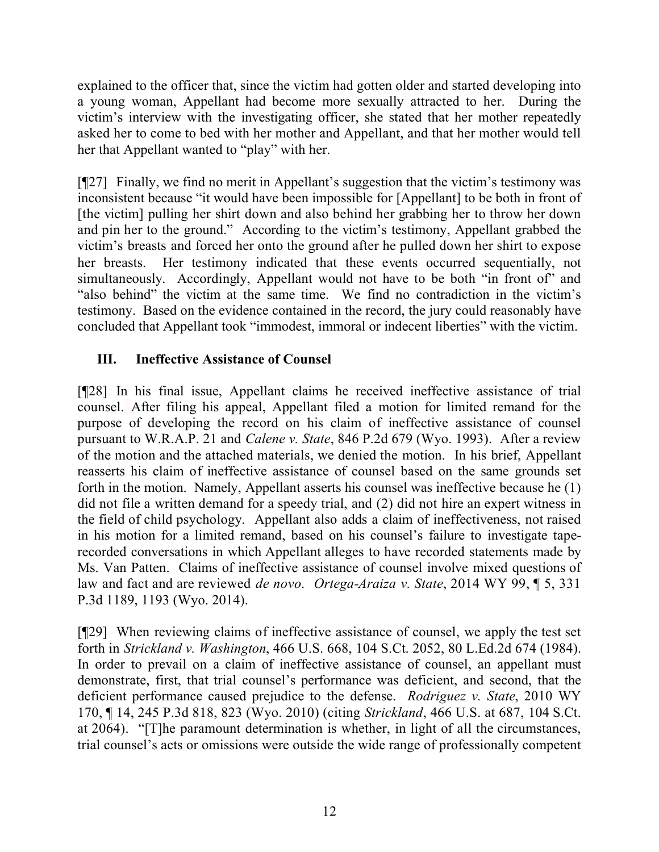explained to the officer that, since the victim had gotten older and started developing into a young woman, Appellant had become more sexually attracted to her. During the victim's interview with the investigating officer, she stated that her mother repeatedly asked her to come to bed with her mother and Appellant, and that her mother would tell her that Appellant wanted to "play" with her.

[¶27] Finally, we find no merit in Appellant's suggestion that the victim's testimony was inconsistent because "it would have been impossible for [Appellant] to be both in front of [the victim] pulling her shirt down and also behind her grabbing her to throw her down and pin her to the ground." According to the victim's testimony, Appellant grabbed the victim's breasts and forced her onto the ground after he pulled down her shirt to expose her breasts. Her testimony indicated that these events occurred sequentially, not simultaneously. Accordingly, Appellant would not have to be both "in front of" and "also behind" the victim at the same time. We find no contradiction in the victim's testimony. Based on the evidence contained in the record, the jury could reasonably have concluded that Appellant took "immodest, immoral or indecent liberties" with the victim.

# **III. Ineffective Assistance of Counsel**

[¶28] In his final issue, Appellant claims he received ineffective assistance of trial counsel. After filing his appeal, Appellant filed a motion for limited remand for the purpose of developing the record on his claim of ineffective assistance of counsel pursuant to W.R.A.P. 21 and *Calene v. State*, 846 P.2d 679 (Wyo. 1993). After a review of the motion and the attached materials, we denied the motion. In his brief, Appellant reasserts his claim of ineffective assistance of counsel based on the same grounds set forth in the motion. Namely, Appellant asserts his counsel was ineffective because he (1) did not file a written demand for a speedy trial, and (2) did not hire an expert witness in the field of child psychology. Appellant also adds a claim of ineffectiveness, not raised in his motion for a limited remand, based on his counsel's failure to investigate taperecorded conversations in which Appellant alleges to have recorded statements made by Ms. Van Patten. Claims of ineffective assistance of counsel involve mixed questions of law and fact and are reviewed *de novo*. *Ortega-Araiza v. State*, 2014 WY 99, ¶ 5, 331 P.3d 1189, 1193 (Wyo. 2014).

[¶29] When reviewing claims of ineffective assistance of counsel, we apply the test set forth in *Strickland v. Washington*, 466 U.S. 668, 104 S.Ct. 2052, 80 L.Ed.2d 674 (1984). In order to prevail on a claim of ineffective assistance of counsel, an appellant must demonstrate, first, that trial counsel's performance was deficient, and second, that the deficient performance caused prejudice to the defense. *Rodriguez v. State*, 2010 WY 170, ¶ 14, 245 P.3d 818, 823 (Wyo. 2010) (citing *Strickland*, 466 U.S. at 687, 104 S.Ct. at 2064). "[T]he paramount determination is whether, in light of all the circumstances, trial counsel's acts or omissions were outside the wide range of professionally competent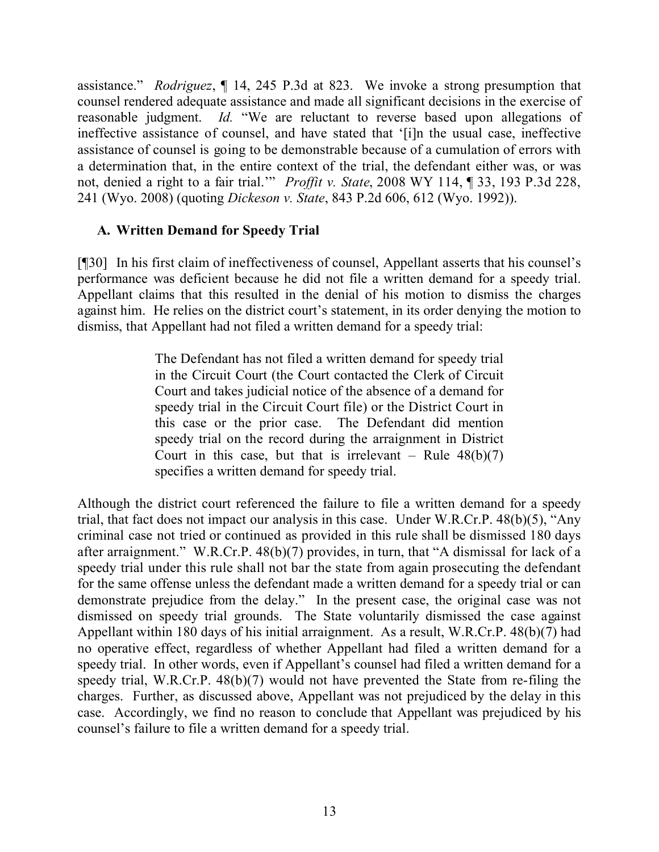assistance." *Rodriguez*, ¶ 14, 245 P.3d at 823. We invoke a strong presumption that counsel rendered adequate assistance and made all significant decisions in the exercise of reasonable judgment. *Id.* "We are reluctant to reverse based upon allegations of ineffective assistance of counsel, and have stated that '[i]n the usual case, ineffective assistance of counsel is going to be demonstrable because of a cumulation of errors with a determination that, in the entire context of the trial, the defendant either was, or was not, denied a right to a fair trial.'" *Proffit v. State*, 2008 WY 114, ¶ 33, 193 P.3d 228, 241 (Wyo. 2008) (quoting *Dickeson v. State*, 843 P.2d 606, 612 (Wyo. 1992)).

# **A. Written Demand for Speedy Trial**

[¶30] In his first claim of ineffectiveness of counsel, Appellant asserts that his counsel's performance was deficient because he did not file a written demand for a speedy trial. Appellant claims that this resulted in the denial of his motion to dismiss the charges against him. He relies on the district court's statement, in its order denying the motion to dismiss, that Appellant had not filed a written demand for a speedy trial:

> The Defendant has not filed a written demand for speedy trial in the Circuit Court (the Court contacted the Clerk of Circuit Court and takes judicial notice of the absence of a demand for speedy trial in the Circuit Court file) or the District Court in this case or the prior case. The Defendant did mention speedy trial on the record during the arraignment in District Court in this case, but that is irrelevant – Rule  $48(b)(7)$ specifies a written demand for speedy trial.

Although the district court referenced the failure to file a written demand for a speedy trial, that fact does not impact our analysis in this case. Under W.R.Cr.P. 48(b)(5), "Any criminal case not tried or continued as provided in this rule shall be dismissed 180 days after arraignment." W.R.Cr.P. 48(b)(7) provides, in turn, that "A dismissal for lack of a speedy trial under this rule shall not bar the state from again prosecuting the defendant for the same offense unless the defendant made a written demand for a speedy trial or can demonstrate prejudice from the delay." In the present case, the original case was not dismissed on speedy trial grounds. The State voluntarily dismissed the case against Appellant within 180 days of his initial arraignment. As a result, W.R.Cr.P. 48(b)(7) had no operative effect, regardless of whether Appellant had filed a written demand for a speedy trial. In other words, even if Appellant's counsel had filed a written demand for a speedy trial, W.R.Cr.P. 48(b)(7) would not have prevented the State from re-filing the charges. Further, as discussed above, Appellant was not prejudiced by the delay in this case. Accordingly, we find no reason to conclude that Appellant was prejudiced by his counsel's failure to file a written demand for a speedy trial.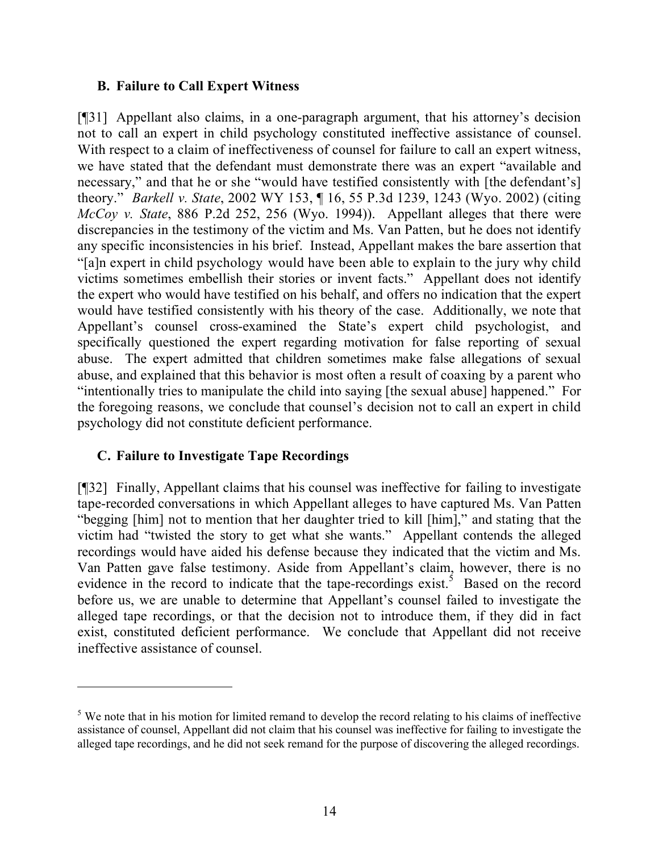#### **B. Failure to Call Expert Witness**

[¶31] Appellant also claims, in a one-paragraph argument, that his attorney's decision not to call an expert in child psychology constituted ineffective assistance of counsel. With respect to a claim of ineffectiveness of counsel for failure to call an expert witness, we have stated that the defendant must demonstrate there was an expert "available and necessary," and that he or she "would have testified consistently with [the defendant's] theory." *Barkell v. State*, 2002 WY 153, ¶ 16, 55 P.3d 1239, 1243 (Wyo. 2002) (citing *McCoy v. State*, 886 P.2d 252, 256 (Wyo. 1994)). Appellant alleges that there were discrepancies in the testimony of the victim and Ms. Van Patten, but he does not identify any specific inconsistencies in his brief. Instead, Appellant makes the bare assertion that "[a]n expert in child psychology would have been able to explain to the jury why child victims sometimes embellish their stories or invent facts." Appellant does not identify the expert who would have testified on his behalf, and offers no indication that the expert would have testified consistently with his theory of the case. Additionally, we note that Appellant's counsel cross-examined the State's expert child psychologist, and specifically questioned the expert regarding motivation for false reporting of sexual abuse. The expert admitted that children sometimes make false allegations of sexual abuse, and explained that this behavior is most often a result of coaxing by a parent who "intentionally tries to manipulate the child into saying [the sexual abuse] happened." For the foregoing reasons, we conclude that counsel's decision not to call an expert in child psychology did not constitute deficient performance.

# **C. Failure to Investigate Tape Recordings**

[¶32] Finally, Appellant claims that his counsel was ineffective for failing to investigate tape-recorded conversations in which Appellant alleges to have captured Ms. Van Patten "begging [him] not to mention that her daughter tried to kill [him]," and stating that the victim had "twisted the story to get what she wants." Appellant contends the alleged recordings would have aided his defense because they indicated that the victim and Ms. Van Patten gave false testimony. Aside from Appellant's claim, however, there is no evidence in the record to indicate that the tape-recordings exist.<sup>5</sup> Based on the record before us, we are unable to determine that Appellant's counsel failed to investigate the alleged tape recordings, or that the decision not to introduce them, if they did in fact exist, constituted deficient performance. We conclude that Appellant did not receive ineffective assistance of counsel.

<sup>&</sup>lt;sup>5</sup> We note that in his motion for limited remand to develop the record relating to his claims of ineffective assistance of counsel, Appellant did not claim that his counsel was ineffective for failing to investigate the alleged tape recordings, and he did not seek remand for the purpose of discovering the alleged recordings.